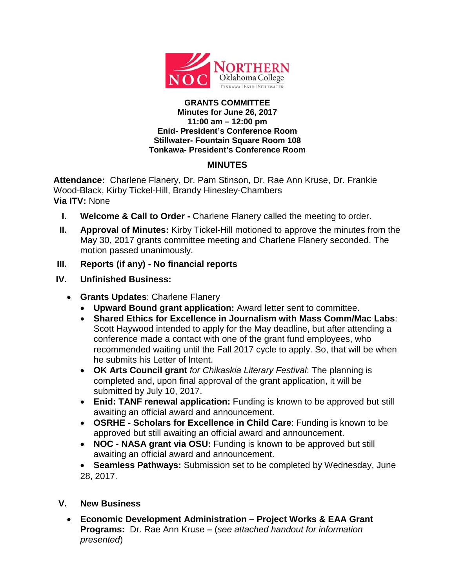

#### **GRANTS COMMITTEE Minutes for June 26, 2017 11:00 am – 12:00 pm Enid- President's Conference Room Stillwater- Fountain Square Room 108 Tonkawa- President's Conference Room**

# **MINUTES**

**Attendance:** Charlene Flanery, Dr. Pam Stinson, Dr. Rae Ann Kruse, Dr. Frankie Wood-Black, Kirby Tickel-Hill, Brandy Hinesley-Chambers **Via ITV:** None

- **I. Welcome & Call to Order -** Charlene Flanery called the meeting to order.
- **II. Approval of Minutes:** Kirby Tickel-Hill motioned to approve the minutes from the May 30, 2017 grants committee meeting and Charlene Flanery seconded. The motion passed unanimously.
- **III. Reports (if any) - No financial reports**
- **IV. Unfinished Business:**
	- **Grants Updates**: Charlene Flanery
		- **Upward Bound grant application:** Award letter sent to committee.
		- **Shared Ethics for Excellence in Journalism with Mass Comm/Mac Labs**: Scott Haywood intended to apply for the May deadline, but after attending a conference made a contact with one of the grant fund employees, who recommended waiting until the Fall 2017 cycle to apply. So, that will be when he submits his Letter of Intent.
		- **OK Arts Council grant** *for Chikaskia Literary Festival*: The planning is completed and, upon final approval of the grant application, it will be submitted by July 10, 2017.
		- **Enid: TANF renewal application:** Funding is known to be approved but still awaiting an official award and announcement.
		- **OSRHE - Scholars for Excellence in Child Care**: Funding is known to be approved but still awaiting an official award and announcement.
		- **NOC NASA grant via OSU:** Funding is known to be approved but still awaiting an official award and announcement.
		- **Seamless Pathways:** Submission set to be completed by Wednesday, June 28, 2017.

# **V. New Business**

• **Economic Development Administration – Project Works & EAA Grant Programs:** Dr. Rae Ann Kruse **–** (*see attached handout for information presented*)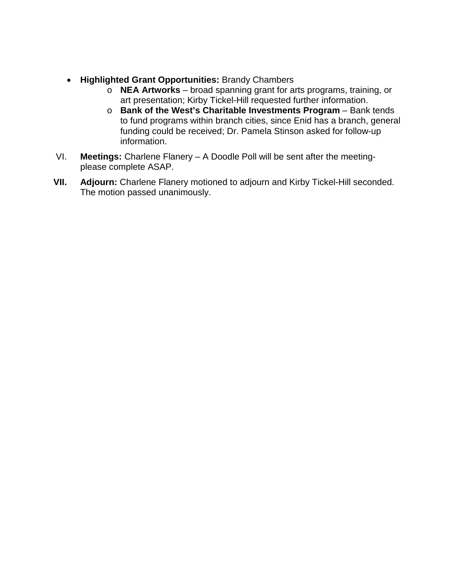- **Highlighted Grant Opportunities:** Brandy Chambers
	- o **NEA Artworks** broad spanning grant for arts programs, training, or art presentation; Kirby Tickel-Hill requested further information.
	- o **Bank of the West's Charitable Investments Program** Bank tends to fund programs within branch cities, since Enid has a branch, general funding could be received; Dr. Pamela Stinson asked for follow-up information.
- VI. **Meetings:** Charlene Flanery A Doodle Poll will be sent after the meetingplease complete ASAP.
- **VII. Adjourn:** Charlene Flanery motioned to adjourn and Kirby Tickel-Hill seconded. The motion passed unanimously.